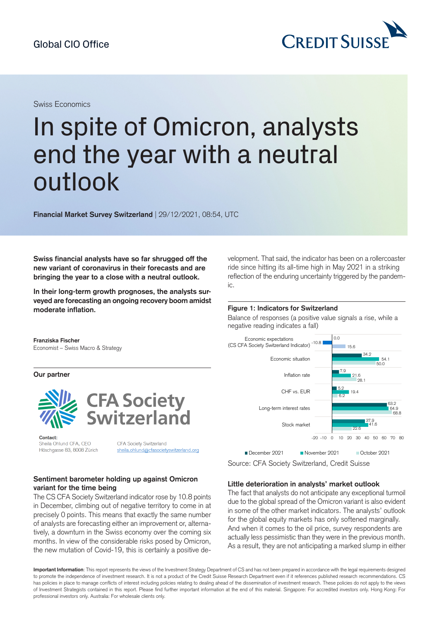# In spite of Omicron, analysts end the year with a neutral outlook

**Financial Market Survey Switzerland** | 29/12/2021, 08:54, UTC

**Swiss financial analysts have so far shrugged off the new variant of coronavirus in their forecasts and are bringing the year to a close with a neutral outlook.**

**In their long-term growth prognoses, the analysts surveyed areforecasting an ongoing recovery boom amidst moderate inflation.**

**Franziska Fischer** Economist – Swiss Macro & Strategy

**Our partner**



Contact: Sheila Ohlund CFA, CEO Höschgasse 83, 8008 Zürich

CFA Society Switzerland sheila.ohlund@cfasocietyswitzerland.org

## **Sentiment barometer holding up against Omicron variant for the time being**

The CS CFA Society Switzerland indicator rose by 10.8 points in December, climbing out of negative territory to come in at precisely 0 points. This means that exactly the same number of analysts are forecasting either an improvement or, alternatively, a downturn in the Swiss economy over the coming six months. In view of the considerable risks posed by Omicron, the new mutation of Covid-19, this is certainly a positive development. That said, the indicator has been on a rollercoaster ride since hitting its all-time high in May 2021 in a striking reflection of the enduring uncertainty triggered by the pandemic.

#### **Figure 1: Indicators for Switzerland**

Balance of responses (a positive value signals a rise, while a negative reading indicates a fall)



Source: CFA Society Switzerland, Credit Suisse

## **Little deterioration in analysts' market outlook**

The fact that analysts do not anticipate any exceptional turmoil due to the global spread of the Omicron variant is also evident in some of the other market indicators. The analysts' outlook for the global equity markets has only softened marginally. And when it comes to the oil price, survey respondents are actually less pessimistic than they were in the previous month. As a result, they are not anticipating a marked slump in either

**Important Information**: This report represents the views of the Investment Strategy Department of CS and has not been prepared in accordance with the legal requirements designed to promote the independence of investment research. It is not a product of the Credit Suisse Research Department even if it references published research recommendations. CS has policies in place to manage conflicts of interest including policies relating to dealing ahead of the dissemination of investment research. These policies do not apply to the views of Investment Strategists contained in this report. Please find further important information at the end of this material. Singapore: For accredited investors only. Hong Kong: For professional investors only. Australia: For wholesale clients only.

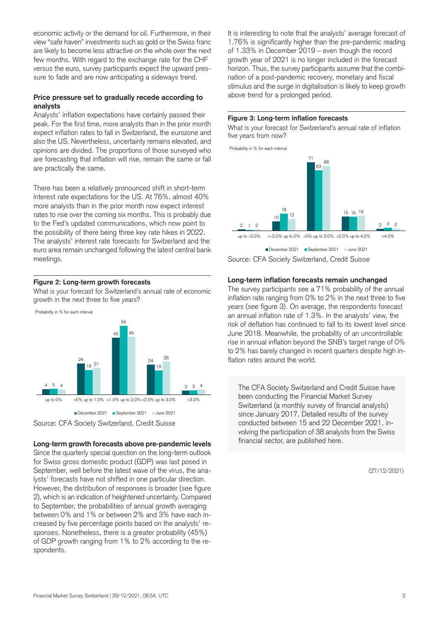economic activity or the demand for oil. Furthermore, in their view "safe haven" investments such as gold or the Swiss franc are likely to become less attractive on the whole over the next few months. With regard to the exchange rate for the CHF versus the euro, survey participants expect the upward pressure to fade and are now anticipating a sideways trend.

# **Price pressure set to gradually recede according to analysts**

Analysts' inflation expectations have certainly passed their peak. For the first time, more analysts than in the prior month expect inflation rates to fall in Switzerland, the eurozone and also the US. Nevertheless, uncertainty remains elevated, and opinions are divided. The proportions of those surveyed who are forecasting that inflation will rise, remain the same or fall are practically the same.

There has been a relatively pronounced shift in short-term interest rate expectations for the US. At 76%, almost 40% more analysts than in the prior month now expect interest rates to rise over the coming six months. This is probably due to the Fed's updated communications, which now point to the possibility of there being three key rate hikes in 2022. The analysts' interest rate forecasts for Switzerland and the euro area remain unchanged following the latest central bank meetings.

## **Figure 2: Long-term growth forecasts**

What is your forecast for Switzerland's annual rate of economic growth in the next three to five years?



Source: CFA Society Switzerland, Credit Suisse

## **Long-term growth forecasts above pre-pandemic levels**

Since the quarterly special question on the long-term outlook for Swiss gross domestic product (GDP) was last posed in September, well before the latest wave of the virus, the analysts' forecasts have not shifted in one particular direction. However, the distribution of responses is broader (see figure 2), which is an indication of heightened uncertainty. Compared to September, the probabilities of annual growth averaging between 0% and 1% or between 2% and 3% have each increased by five percentage points based on the analysts' responses. Nonetheless, there is a greater probability (45%) of GDP growth ranging from 1% to 2% according to the respondents.

It is interesting to note that the analysts' average forecast of 1.76% is significantly higher than the pre-pandemic reading of 1.33% in December 2019 – even though the record growth year of 2021 is no longer included in the forecast horizon. Thus, the survey participants assume that the combination of a post-pandemic recovery, monetary and fiscal stimulus and the surge in digitalisation is likely to keep growth above trend for a prolonged period.

#### **Figure 3: Long-term inflation forecasts**

What is your forecast for Switzerland's annual rate of inflation five years from now?



Source: CFA Society Switzerland, Credit Suisse

#### **Long-term inflation forecasts remain unchanged**

The survey participants see a 71% probability of the annual inflation rate ranging from 0% to 2% in the next three to five years (see figure 3). On average, the respondents forecast an annual inflation rate of 1.3%. In the analysts' view, the risk of deflation has continued to fall to its lowest level since June 2018. Meanwhile, the probability of an uncontrollable rise in annual inflation beyond the SNB's target range of 0% to 2% has barely changed in recent quarters despite high inflation rates around the world.

The CFA Society Switzerland and Credit Suisse have been conducting the Financial Market Survey Switzerland (a monthly survey of financial analysts) since January 2017. Detailed results of the survey conducted between 15 and 22 December 2021, involving the participation of 38 analysts from the Swiss financial sector, are published here.

(27/12/2021)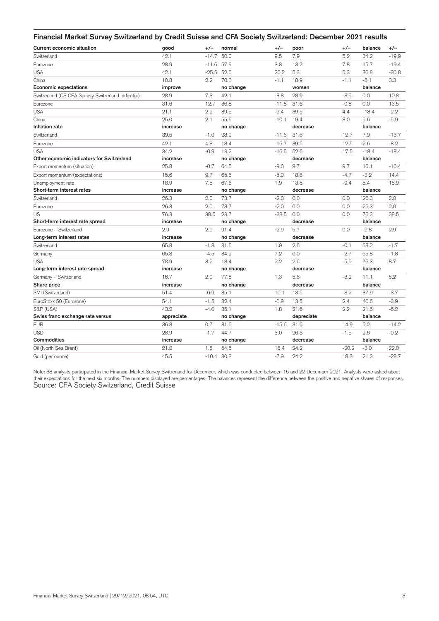| Financial Market Survey Switzerland by Credit Suisse and CFA Society Switzerland: December 2021 results |            |         |              |         |            |         |         |         |
|---------------------------------------------------------------------------------------------------------|------------|---------|--------------|---------|------------|---------|---------|---------|
| Current economic situation                                                                              | good       | $+/-$   | normal       | +/-     | poor       | +/-     | balance | $+/-$   |
| Switzerland                                                                                             | 42.1       | $-14.7$ | 50.0         | 9.5     | 7.9        | 5.2     | 34.2    | $-19.9$ |
| Eurozone                                                                                                | 28.9       | $-11.6$ | 57.9         | 3.8     | 13.2       | 7.8     | 15.7    | $-19.4$ |
| <b>USA</b>                                                                                              | 42.1       | $-25.5$ | 52.6         | 20.2    | 5.3        | 5.3     | 36.8    | $-30.8$ |
| China                                                                                                   | 10.8       | 2.2     | 70.3         | $-1.1$  | 18.9       | $-1.1$  | $-8.1$  | 3.3     |
| <b>Economic expectations</b>                                                                            | improve    |         | no change    |         | worsen     |         | balance |         |
| Switzerland (CS CFA Society Switzerland Indicator)                                                      | 28.9       | 7.3     | 42.1         | $-3.8$  | 28.9       | $-3.5$  | 0.0     | 10.8    |
| Eurozone                                                                                                | 31.6       | 12.7    | 36.8         | $-11.8$ | 31.6       | $-0.8$  | 0.0     | 13.5    |
| <b>USA</b>                                                                                              | 21.1       | 2.2     | 39.5         | $-6.4$  | 39.5       | 4.4     | $-18.4$ | $-2.2$  |
| China                                                                                                   | 25.0       | 2.1     | 55.6         | $-10.1$ | 19.4       | 8.0     | 5.6     | $-5.9$  |
| Inflation rate                                                                                          | increase   |         | no change    |         | decrease   |         | balance |         |
| Switzerland                                                                                             | 39.5       | $-1.0$  | 28.9         | $-11.6$ | 31.6       | 12.7    | 7.9     | $-13.7$ |
| Eurozone                                                                                                | 42.1       | 4.3     | 18.4         | $-16.7$ | 39.5       | 12.5    | 2.6     | $-8.2$  |
| <b>USA</b>                                                                                              | 34.2       | $-0.9$  | 13.2         | $-16.5$ | 52.6       | 17.5    | $-18.4$ | $-18.4$ |
| Other economic indicators for Switzerland                                                               | increase   |         | no change    |         | decrease   |         | balance |         |
| Export momentum (situation)                                                                             | 25.8       | $-0.7$  | 64.5         | $-9.0$  | 9.7        | 9.7     | 16.1    | $-10.4$ |
| Export momentum (expectations)                                                                          | 15.6       | 9.7     | 65.6         | $-5.0$  | 18.8       | $-4.7$  | $-3.2$  | 14.4    |
| Unemployment rate                                                                                       | 18.9       | 7.5     | 67.6         | 1.9     | 13.5       | $-9.4$  | 5.4     | 16.9    |
| Short-term interest rates                                                                               | increase   |         | no change    |         | decrease   |         | balance |         |
| Switzerland                                                                                             | 26.3       | 2.0     | 73.7         | $-2.0$  | 0.0        | 0.0     | 26.3    | 2.0     |
| Eurozone                                                                                                | 26.3       | 2.0     | 73.7         | $-2.0$  | 0.0        | 0.0     | 26.3    | 2.0     |
| US                                                                                                      | 76.3       | 38.5    | 23.7         | $-38.5$ | 0.0        | 0.0     | 76.3    | 38.5    |
| Short-term interest rate spread                                                                         | increase   |         | no change    |         | decrease   |         | balance |         |
| Eurozone - Switzerland                                                                                  | 2.9        | 2.9     | 91.4         | $-2.9$  | 5.7        | 0.0     | $-2.8$  | 2.9     |
| Long-term interest rates                                                                                | increase   |         | no change    |         | decrease   |         | balance |         |
| Switzerland                                                                                             | 65.8       | $-1.8$  | 31.6         | 1.9     | 2.6        | $-0.1$  | 63.2    | $-1.7$  |
| Germany                                                                                                 | 65.8       | $-4.5$  | 34.2         | 7.2     | 0.0        | $-2.7$  | 65.8    | $-1.8$  |
| <b>USA</b>                                                                                              | 78.9       | 3.2     | 18.4         | 2.2     | 2.6        | $-5.5$  | 76.3    | 8.7     |
| Long-term interest rate spread                                                                          | increase   |         | no change    |         | decrease   |         | balance |         |
| Germany - Switzerland                                                                                   | 16.7       | 2.0     | 77.8         | 1.3     | 5.6        | $-3.2$  | 11.1    | 5.2     |
| Share price                                                                                             | increase   |         | no change    |         | decrease   |         | balance |         |
| SMI (Switzerland)                                                                                       | 51.4       | $-6.9$  | 35.1         | 10.1    | 13.5       | $-3.2$  | 37.9    | $-3.7$  |
| EuroStoxx 50 (Eurozone)                                                                                 | 54.1       | $-1.5$  | 32.4         | $-0.9$  | 13.5       | 2.4     | 40.6    | $-3.9$  |
| S&P (USA)                                                                                               | 43.2       | $-4.0$  | 35.1         | 1.8     | 21.6       | 2.2     | 21.6    | $-6.2$  |
| Swiss franc exchange rate versus                                                                        | appreciate |         | no change    |         | depreciate |         | balance |         |
| <b>EUR</b>                                                                                              | 36.8       | 0.7     | 31.6         | $-15.6$ | 31.6       | 14.9    | 5.2     | $-14.2$ |
| <b>USD</b>                                                                                              | 28.9       | $-1.7$  | 44.7         | 3.0     | 26.3       | $-1.5$  | 2.6     | $-0.2$  |
| <b>Commodities</b>                                                                                      | increase   |         | no change    |         | decrease   |         | balance |         |
| Oil (North Sea Brent)                                                                                   | 21.2       | 1.8     | 54.5         | 18.4    | 24.2       | $-20.2$ | $-3.0$  | 22.0    |
| Gold (per ounce)                                                                                        | 45.5       |         | $-10.4$ 30.3 | $-7.9$  | 24.2       | 18.3    | 21.3    | $-28.7$ |

Note: 38 analysts participated in the Financial Market Survey Switzerland for December, which was conducted between 15 and 22 December 2021. Analysts were asked about their expectations for the next six months. The numbers displayed are percentages. The balances represent the difference between the positive and negative shares of responses.<br>Source: CFA Society Switzerland, Credit Suisse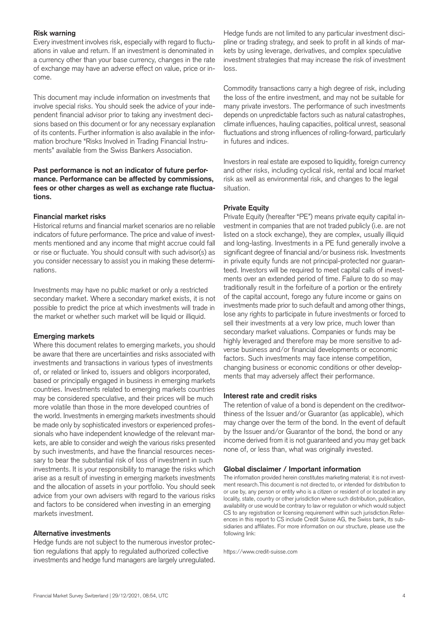## **Risk warning**

Every investment involves risk, especially with regard to fluctuations in value and return. If an investment is denominated in a currency other than your base currency, changes in the rate of exchange may have an adverse effect on value, price or income.

This document may include information on investments that involve special risks. You should seek the advice of your independent financial advisor prior to taking any investment decisions based on this document or for any necessary explanation of its contents. Further information is also available in the information brochure "Risks Involved in Trading Financial Instruments" available from the Swiss Bankers Association.

# **Past performance is not an indicator of future performance. Performance can be affected by commissions, fees or other charges as well as exchange rate fluctuations.**

# **Financial market risks**

Historical returns and financial market scenarios are no reliable indicators of future performance. The price and value of investments mentioned and any income that might accrue could fall or rise or fluctuate. You should consult with such advisor(s) as you consider necessary to assist you in making these determinations.

Investments may have no public market or only a restricted secondary market. Where a secondary market exists, it is not possible to predict the price at which investments will trade in the market or whether such market will be liquid or illiquid.

## **Emerging markets**

Where this document relates to emerging markets, you should be aware that there are uncertainties and risks associated with investments and transactions in various types of investments of, or related or linked to, issuers and obligors incorporated, based or principally engaged in business in emerging markets countries. Investments related to emerging markets countries may be considered speculative, and their prices will be much more volatile than those in the more developed countries of the world. Investments in emerging markets investments should be made only by sophisticated investors or experienced professionals who have independent knowledge of the relevant markets, are able to consider and weigh the various risks presented by such investments, and have the financial resources necessary to bear the substantial risk of loss of investment in such investments. It is your responsibility to manage the risks which arise as a result of investing in emerging markets investments and the allocation of assets in your portfolio. You should seek advice from your own advisers with regard to the various risks and factors to be considered when investing in an emerging markets investment.

## **Alternative investments**

Hedge funds are not subject to the numerous investor protection regulations that apply to regulated authorized collective investments and hedge fund managers are largely unregulated.

Hedge funds are not limited to any particular investment discipline or trading strategy, and seek to profit in all kinds of markets by using leverage, derivatives, and complex speculative investment strategies that may increase the risk of investment loss.

Commodity transactions carry a high degree of risk, including the loss of the entire investment, and may not be suitable for many private investors. The performance of such investments depends on unpredictable factors such as natural catastrophes, climate influences, hauling capacities, political unrest, seasonal fluctuations and strong influences of rolling-forward, particularly in futures and indices.

Investors in real estate are exposed to liquidity, foreign currency and other risks, including cyclical risk, rental and local market risk as well as environmental risk, and changes to the legal situation.

# **Private Equity**

Private Equity (hereafter "PE") means private equity capital investment in companies that are not traded publicly (i.e. are not listed on a stock exchange), they are complex, usually illiquid and long-lasting. Investments in a PE fund generally involve a significant degree of financial and/or business risk. Investments in private equity funds are not principal-protected nor guaranteed. Investors will be required to meet capital calls of investments over an extended period of time. Failure to do so may traditionally result in the forfeiture of a portion or the entirety of the capital account, forego any future income or gains on investments made prior to such default and among other things, lose any rights to participate in future investments or forced to sell their investments at a very low price, much lower than secondary market valuations. Companies or funds may be highly leveraged and therefore may be more sensitive to adverse business and/or financial developments or economic factors. Such investments may face intense competition, changing business or economic conditions or other developments that may adversely affect their performance.

## **Interest rate and credit risks**

The retention of value of a bond is dependent on the creditworthiness of the Issuer and/or Guarantor (as applicable), which may change over the term of the bond. In the event of default by the Issuer and/or Guarantor of the bond, the bond or any income derived from it is not guaranteed and you may get back none of, or less than, what was originally invested.

#### **Global disclaimer / Important information**

The information provided herein constitutes marketing material; it is not investment research.This document is not directed to, or intended for distribution to or use by, any person or entity who is a citizen or resident of or located in any locality, state, country or other jurisdiction where such distribution, publication, availability or use would be contrary to law or regulation or which would subject CS to any registration or licensing requirement within such jurisdiction.References in this report to CS include Credit Suisse AG, the Swiss bank, its subsidiaries and affiliates. For more information on our structure, please use the following link:

https://www.credit-suisse.com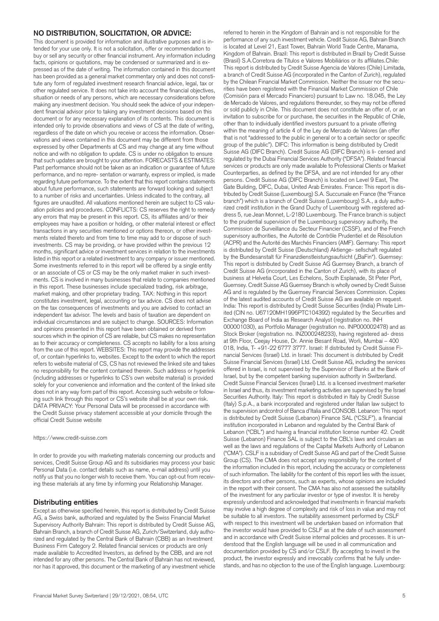#### **NO DISTRIBUTION, SOLICITATION, OR ADVICE:**

This document is provided for information and illustrative purposes and is intended for your use only. It is not a solicitation, offer or recommendation to buy or sell any security or other financial instrument. Any information including facts, opinions or quotations, may be condensed or summarized and is expressed as of the date of writing. The information contained in this document has been provided as a general market commentary only and does not constitute any form of regulated investment research financial advice, legal, tax or other regulated service. It does not take into account the financial objectives, situation or needs of any persons, which are necessary considerations before making any investment decision. You should seek the advice of your independent financial advisor prior to taking any investment decisions based on this document or for any necessary explanation of its contents. This document is intended only to provide observations and views of CS at the date of writing, regardless of the date on which you receive or access the information. Observations and views contained in this document may be different from those expressed by other Departments at CS and may change at any time without notice and with no obligation to update. CS is under no obligation to ensure that such updates are brought to your attention. FORECASTS & ESTIMATES: Past performance should not be taken as an indication or guarantee of future performance, and no repre- sentation or warranty, express or implied, is made regarding future performance. To the extent that this report contains statements about future performance, such statements are forward looking and subject to a number of risks and uncertainties. Unless indicated to the contrary, all figures are unaudited. All valuations mentioned herein are subject to CS valuation policies and procedures. CONFLICTS: CS reserves the right to remedy any errors that may be present in this report. CS, its affiliates and/or their employees may have a position or holding, or other material interest or effect transactions in any securities mentioned or options thereon, or other investments related thereto and from time to time may add to or dispose of such investments. CS may be providing, or have provided within the previous 12 months, significant advice or investment services in relation to the investments listed in this report or a related investment to any company or issuer mentioned. Some investments referred to in this report will be offered by a single entity or an associate of CS or CS may be the only market maker in such investments. CS is involved in many businesses that relate to companies mentioned in this report. These businesses include specialized trading, risk arbitrage, market making, and other proprietary trading. TAX: Nothing in this report constitutes investment, legal, accounting or tax advice. CS does not advise on the tax consequences of investments and you are advised to contact an independent tax advisor. The levels and basis of taxation are dependent on individual circumstances and are subject to change. SOURCES: Information and opinions presented in this report have been obtained or derived from sources which in the opinion of CS are reliable, but CS makes no representation as to their accuracy or completeness. CS accepts no liability for a loss arising from the use of this report. WEBSITES: This report may provide the addresses of, or contain hyperlinks to, websites. Except to the extent to which the report refers to website material of CS, CS has not reviewed the linked site and takes no responsibility for the content contained therein. Such address or hyperlink (including addresses or hyperlinks to CS's own website material) is provided solely for your convenience and information and the content of the linked site does not in any way form part of this report. Accessing such website or following such link through this report or CS's website shall be at your own risk. DATA PRIVACY: Your Personal Data will be processed in accordance with the Credit Suisse privacy statement accessible at your domicile through the official Credit Suisse website

#### https://www.credit-suisse.com

In order to provide you with marketing materials concerning our products and services, Credit Suisse Group AG and its subsidiaries may process your basic Personal Data (i.e. contact details such as name, e-mail address) until you notify us that you no longer wish to receive them. You can opt-out from receiving these materials at any time by informing your Relationship Manager.

#### **Distributing entities**

Except as otherwise specified herein, this report is distributed by Credit Suisse AG, a Swiss bank, authorized and regulated by the Swiss Financial Market Supervisory Authority Bahrain: This report is distributed by Credit Suisse AG, Bahrain Branch, a branch of Credit Suisse AG, Zurich/Switzerland, duly authorized and regulated by the Central Bank of Bahrain (CBB) as an Investment Business Firm Category 2. Related financial services or products are only made available to Accredited Investors, as defined by the CBB, and are not intended for any other persons. The Central Bank of Bahrain has not reviewed, nor has it approved, this document or the marketing of any investment vehicle

is located at Level 21, East Tower, Bahrain World Trade Centre, Manama, Kingdom of Bahrain. Brazil: This report is distributed in Brazil by Credit Suisse (Brasil) S.A.Corretora de Títulos e Valores Mobiliários or its affiliates.Chile: This report is distributed by Credit Suisse Agencia de Valores (Chile) Limitada, a branch of Credit Suisse AG (incorporated in the Canton of Zurich), regulated by the Chilean Financial Market Commission. Neither the issuer nor the securities have been registered with the Financial Market Commission of Chile (Comisión para el Mercado Financiero) pursuant to Law no. 18.045, the Ley de Mercado de Valores, and regulations thereunder, so they may not be offered or sold publicly in Chile. This document does not constitute an offer of, or an invitation to subscribe for or purchase, the securities in the Republic of Chile, other than to individually identified investors pursuant to a private offering within the meaning of article 4 of the Ley de Mercado de Valores (an offer that is not "addressed to the public in general or to a certain sector or specific group of the public"). DIFC: This information is being distributed by Credit Suisse AG (DIFC Branch). Credit Suisse AG (DIFC Branch) is li- censed and regulated by the Dubai Financial Services Authority ("DFSA"). Related financial services or products are only made available to Professional Clients or Market Counterparties, as defined by the DFSA, and are not intended for any other persons. Credit Suisse AG (DIFC Branch) is located on Level 9 East, The Gate Building, DIFC, Dubai, United Arab Emirates. France: This report is distributed by Credit Suisse (Luxembourg) S.A. Succursale en France (the "France branch") which is a branch of Credit Suisse (Luxembourg) S.A., a duly authorized credit institution in the Grand Duchy of Luxembourg with registered address 5, rue Jean Monnet, L-2180 Luxembourg. The France branch is subject to the prudential supervision of the Luxembourg supervisory authority, the Commission de Surveillance du Secteur Financier (CSSF), and of the French supervisory authorities, the Autorité de Contrôle Prudentiel et de Résolution (ACPR) and the Autorité des Marchés Financiers (AMF). Germany: This report is distributed by Credit Suisse (Deutschland) Aktienge- sellschaft regulated by the Bundesanstalt für Finanzdienstleistungsaufsicht ("BaFin"). Guernsey: This report is distributed by Credit Suisse AG Guernsey Branch, a branch of Credit Suisse AG (incorporated in the Canton of Zurich), with its place of business at Helvetia Court, Les Echelons, South Esplanade, St Peter Port, Guernsey. Credit Suisse AG Guernsey Branch is wholly owned by Credit Suisse AG and is regulated by the Guernsey Financial Services Commission. Copies of the latest audited accounts of Credit Suisse AG are available on request. India: This report is distributed by Credit Suisse Securities (India) Private Limited (CIN no. U67120MH1996PTC104392) regulated by the Securities and Exchange Board of India as Research Analyst (registration no. INH 000001030), as Portfolio Manager (registration no. INP000002478) and as Stock Broker (registration no. INZ000248233), having registered ad- dress at 9th Floor, Ceejay House, Dr. Annie Besant Road, Worli, Mumbai – 400 018, India, T- +91-22 6777 3777. Israel: If distributed by Credit Suisse Financial Services (Israel) Ltd. in Israel: This document is distributed by Credit Suisse Financial Services (Israel) Ltd. Credit Suisse AG, including the services offered in Israel, is not supervised by the Supervisor of Banks at the Bank of Israel, but by the competent banking supervision authority in Switzerland. Credit Suisse Financial Services (Israel) Ltd. is a licensed investment marketer in Israel and thus, its investment marketing activities are supervised by the Israel Securities Authority. Italy: This report is distributed in Italy by Credit Suisse (Italy) S.p.A., a bank incorporated and registered under Italian law subject to the supervision andcontrol of Banca d'Italia and CONSOB. Lebanon: This report is distributed by Credit Suisse (Lebanon) Finance SAL ("CSLF"), a financial institution incorporated in Lebanon and regulated by the Central Bank of Lebanon ("CBL") and having a financial institution license number 42. Credit Suisse (Lebanon) Finance SAL is subject to the CBL's laws and circulars as well as the laws and regulations of the Capital Markets Authority of Lebanon ("CMA"). CSLF is a subsidiary of Credit Suisse AG and part of the Credit Suisse Group (CS). The CMA does not accept any responsibility for the content of the information included in this report, including the accuracy or completeness of such information. The liability for the content of this report lies with the issuer, its directors and other persons, such as experts, whose opinions are included in the report with their consent. The CMA has also not assessed the suitability of the investment for any particular investor or type of investor. It is hereby expressly understood and acknowledged that investments in financial markets may involve a high degree of complexity and risk of loss in value and may not be suitable to all investors. The suitability assessment performed by CSLF with respect to this investment will be undertaken based on information that the investor would have provided to CSLF as at the date of such assessment

referred to herein in the Kingdom of Bahrain and is not responsible for the performance of any such investment vehicle. Credit Suisse AG, Bahrain Branch

and in accordance with Credit Suisse internal policies and processes. It is understood that the English language will be used in all communication and documentation provided by CS and/or CSLF. By accepting to invest in the product, the investor expressly and irrevocably confirms that he fully understands, and has no objection to the use of the English language. Luxembourg: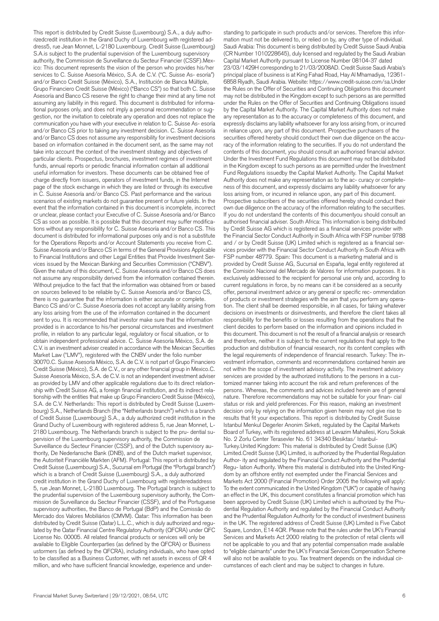This report is distributed by Credit Suisse (Luxembourg) S.A., a duly authorizedcredit institution in the Grand Duchy of Luxembourg with registered address5, rue Jean Monnet, L-2180 Luxembourg. Credit Suisse (Luxembourg) S.A. is subject to the prudential supervision of the Luxembourg supervisory authority, the Commission de Surveillance du Secteur Financier (CSSF).Mexico: This document represents the vision of the person who provides his/her services to C. Suisse Asesoría México, S.A. de C.V. ("C. Suisse As- esoría") and/or Banco Credit Suisse (México), S.A., Institución de Banca Múltiple, Grupo Financiero Credit Suisse (México) ("Banco CS") so that both C. Suisse Asesoría and Banco CS reserve the right to change their mind at any time not assuming any liability in this regard. This document is distributed for informational purposes only, and does not imply a personal recommendation or suggestion, nor the invitation to celebrate any operation and does not replace the communication you have with your executive in relation to C. Suisse As- esoría and/or Banco CS prior to taking any investment decision. C. Suisse Asesoría and/or Banco CS does not assume any responsibility for investment decisions based on information contained in the document sent, as the same may not take into account the context of the investment strategy and objectives of particular clients. Prospectus, brochures, investment regimes of investment funds, annual reports or periodic financial information contain all additional useful information for investors. These documents can be obtained free of charge directly from issuers, operators of investment funds, in the Internet page of the stock exchange in which they are listed or through its executive in C. Suisse Asesoría and/or Banco CS. Past performance and the various scenarios of existing markets do not guarantee present or future yields. In the event that the information contained in this document is incomplete, incorrect or unclear, please contact your Executive of C. Suisse Asesoría and/or Banco CS as soon as possible. It is possible that this document may suffer modifications without any responsibility for C. Suisse Asesoría and/or Banco CS. This document is distributed for informational purposes only and is not a substitute for the Operations Reports and/or Account Statements you receive from C. Suisse Asesoría and/or Banco CS in terms of the General Provisions Applicable to Financial Institutions and other Legal Entities that Provide Investment Services issued by the Mexican Banking and Securities Commission ("CNBV"). Given the nature of this document, C. Suisse Asesoría and/or Banco CS does not assume any responsibility derived from the information contained therein. Without prejudice to the fact that the information was obtained from or based on sources believed to be reliable by C. Suisse Asesoría and/or Banco CS, there is no guarantee that the information is either accurate or complete. Banco CS and/or C. Suisse Asesoría does not accept any liability arising from any loss arising from the use of the information contained in the document sent to you. It is recommended that investor make sure that the information provided is in accordance to his/her personal circumstances and investment profile, in relation to any particular legal, regulatory or fiscal situation, or to obtain independent professional advice. C. Suisse Asesoría México, S.A. de C.V. is an investment adviser created in accordance with the Mexican Securities Market Law ("LMV"), registered with the CNBV under the folio number 30070.C. Suisse Asesoría México, S.A. de C.V. is not part of Grupo Financiero Credit Suisse (México), S.A. de C.V., or any other financial group in Mexico.C. Suisse Asesoría México, S.A. de C.V. is not an independent investment adviser as provided by LMV and other applicable regulations due to its direct relationship with Credit Suisse AG, a foreign financial institution, and its indirect relationship with the entities that make up Grupo Financiero Credit Suisse (México), S.A. de C.V. Netherlands: This report is distributed by Credit Suisse (Luxembourg) S.A., Netherlands Branch (the "Netherlands branch") which is a branch of Credit Suisse (Luxembourg) S.A., a duly authorized credit institution in the Grand Duchy of Luxembourg with registered address 5, rue Jean Monnet, L-2180 Luxembourg. The Netherlands branch is subject to the pru- dential supervision of the Luxembourg supervisory authority, the Commission de Surveillance du Secteur Financier (CSSF), and of the Dutch supervisory authority, De Nederlansche Bank (DNB), and of the Dutch market supervisor, the Autoriteit Financiële Markten (AFM). Portugal: This report is distributed by Credit Suisse (Luxembourg) S.A., Sucursal em Portugal (the "Portugal branch") which is a branch of Credit Suisse (Luxembourg) S.A., a duly authorized credit institution in the Grand Duchy of Luxembourg with registeredaddress 5, rue Jean Monnet, L-2180 Luxembourg. The Portugal branch is subject to the prudential supervision of the Luxembourg supervisory authority, the Commission de Surveillance du Secteur Financier (CSSF), and of the Portuguese supervisory authorities, the Banco de Portugal (BdP) and the Comissão do Mercado dos Valores Mobiliários (CMVM). Qatar: This information has been distributed by Credit Suisse (Qatar) L.L.C., which is duly authorized and regulated by the Qatar Financial Centre Regulatory Authority (QFCRA) under QFC License No. 00005. All related financial products or services will only be available to Eligible Counterparties (as defined by the QFCRA) or Business ustormers (as defined by the QFCRA), including individuals, who have opted to be classified as a Business Customer, with net assets in excess of QR 4 million, and who have sufficient financial knowledge, experience and under-

standing to participate in such products and/or services. Therefore this information must not be delivered to, or relied on by, any other type of individual. Saudi Arabia: This document is being distributed by Credit Suisse Saudi Arabia (CR Number 1010228645), duly licensed and regulated by the Saudi Arabian Capital Market Authority pursuant to License Number 08104-37 dated 23/03/1429H corresponding to 21/03/2008AD. Credit Suisse Saudi Arabia's principal place of business is at King Fahad Road, Hay Al Mhamadiya, 12361- 6858 Riyadh, Saudi Arabia. Website: https://www.credit-suisse.com/sa.Under the Rules on the Offer of Securities and Continuing Obligations this document may not be distributed in the Kingdom except to such persons as are permitted under the Rules on the Offer of Securities and Continuing Obligations issued by the Capital Market Authority. The Capital Market Authority does not make any representation as to the accuracy or completeness of this document, and expressly disclaims any liability whatsoever for any loss arising from, or incurred in reliance upon, any part of this document. Prospective purchasers of the securities offered hereby should conduct their own due diligence on the accuracy of the information relating to the securities. If you do not understand the contents of this document, you should consult an authorised financial advisor. Under the Investment Fund Regulations this document may not be distributed in the Kingdom except to such persons as are permitted under the Investment Fund Regulations issuedby the Capital Market Authority. The Capital Market Authority does not make any representation as to the ac- curacy or completeness of this document, and expressly disclaims any liability whatsoever for any loss arising from, or incurred in reliance upon, any part of this document. Prospective subscribers of the securities offered hereby should conduct their own due diligence on the accuracy of the information relating to the securities. If you do not understand the contents of this documentyou should consult an authorised financial adviser. South Africa: This information is being distributed by Credit Suisse AG which is registered as a financial services provider with the Financial Sector Conduct Authority in South Africa with FSP number 9788 and / or by Credit Suisse (UK) Limited which is registered as a financial services provider with the Financial Sector Conduct Authority in South Africa with FSP number 48779. Spain: This document is a marketing material and is provided by Credit Suisse AG, Sucursal en España, legal entity registered at the Comisión Nacional del Mercado de Valores for information purposes. It is exclusively addressed to the recipient for personal use only and, according to current regulations in force, by no means can it be considered as a security offer, personal investment advice or any general or specific rec- ommendation of products or investment strategies with the aim that you perform any operation. The client shall be deemed responsible, in all cases, for taking whatever decisions on investments or disinvestments, and therefore the client takes all responsibility for the benefits or losses resulting from the operations that the client decides to perform based on the information and opinions included in this document. This document is not the result of a financial analysis or research and therefore, neither it is subject to the current regulations that apply to the production and distribution of financial research, nor its content complies with the legal requirements of independence of financial research. Turkey: The investment information, comments and recommendations contained herein are not within the scope of investment advisory activity. The investment advisory services are provided by the authorized institutions to the persons in a customized manner taking into account the risk and return preferences of the persons. Whereas, the comments and advices included herein are of general nature. Therefore recommendations may not be suitable for your finan- cial status or risk and yield preferences. For this reason, making an investment decision only by relying on the information given herein may not give rise to results that fit your expectations. This report is distributed by Credit Suisse Istanbul Menkul Degerler Anonim Sirketi, regulated by the Capital Markets Board of Turkey, with its registered address at Levazim Mahallesi, Koru Sokak No. 2 Zorlu Center Terasevler No. 61 34340 Besiktas/ Istanbul-Turkey.United Kingdom: This material is distributed by Credit Suisse (UK) Limited.Credit Suisse (UK) Limited, is authorized by the Prudential Regulation Author- ity and regulated by the Financial Conduct Authority and the Prudential Regu- lation Authority. Where this material is distributed into the United Kingdom by an offshore entity not exempted under the Financial Services and Markets Act 2000 (Financial Promotion) Order 2005 the following will apply: To the extent communicated in the United Kingdom ("UK") or capable of having an effect in the UK, this document constitutes a financial promotion which has been approved by Credit Suisse (UK) Limited which is authorized by the Prudential Regulation Authority and regulated by the Financial Conduct Authority and the Prudential Regulation Authority for the conduct of investment business in the UK. The registered address of Credit Suisse (UK) Limited is Five Cabot Square, London, E14 4QR. Please note that the rules under the UK's Financial Services and Markets Act 2000 relating to the protection of retail clients will not be applicable to you and that any potential compensation made available to "eligible claimants" under the UK's Financial Services Compensation Scheme will also not be available to you. Tax treatment depends on the individual circumstances of each client and may be subject to changes in future.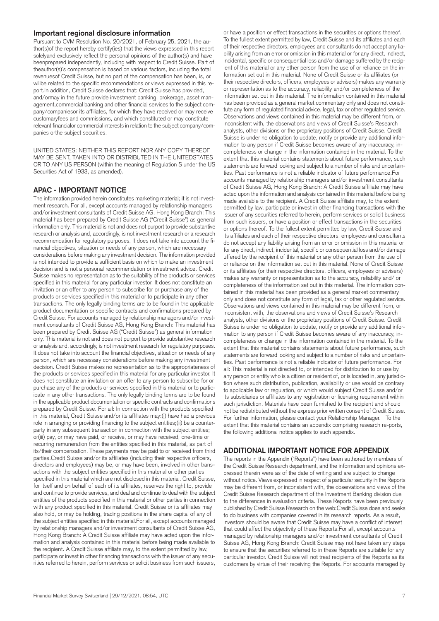#### **Important regional disclosure information**

Pursuant to CVM Resolution No. 20/2021, of February 25, 2021, the author(s)of the report hereby certify(ies) that the views expressed in this report solelyand exclusively reflect the personal opinions of the author(s) and have beenprepared independently, including with respect to Credit Suisse. Part of theauthor(s)´s compensation is based on various factors, including the total revenuesof Credit Suisse, but no part of the compensation has been, is, or willbe related to the specific recommendations or views expressed in this report.In addition, Credit Suisse declares that: Credit Suisse has provided, and/ormay in the future provide investment banking, brokerage, asset management,commercial banking and other financial services to the subject company/companiesor its affiliates, for which they have received or may receive customaryfees and commissions, and which constituted or may constitute relevant financialor commercial interests in relation to the subject company/companies orthe subject securities.

UNITED STATES: NEITHER THIS REPORT NOR ANY COPY THEREOF MAY BE SENT, TAKEN INTO OR DISTRIBUTED IN THE UNITEDSTATES OR TO ANY US PERSON (within the meaning of Regulation S under the US Securities Act of 1933, as amended).

#### **APAC - IMPORTANT NOTICE**

The information provided herein constitutes marketing material; it is not investment research. For all, except accounts managed by relationship managers and/or investment consultants of Credit Suisse AG, Hong Kong Branch: This material has been prepared by Credit Suisse AG ("Credit Suisse") as general information only. This material is not and does not purport to provide substantive research or analysis and, accordingly, is not investment research or a research recommendation for regulatory purposes. It does not take into account the financial objectives, situation or needs of any person, which are necessary considerations before making any investment decision. The information provided is not intended to provide a sufficient basis on which to make an investment decision and is not a personal recommendation or investment advice. Credit Suisse makes no representation as to the suitability of the products or services specified in this material for any particular investor. It does not constitute an invitation or an offer to any person to subscribe for or purchase any of the products or services specified in this material or to participate in any other transactions. The only legally binding terms are to be found in the applicable product documentation or specific contracts and confirmations prepared by Credit Suisse. For accounts managed by relationship managers and/or investment consultants of Credit Suisse AG, Hong Kong Branch: This material has been prepared by Credit Suisse AG ("Credit Suisse") as general information only. This material is not and does not purport to provide substantive research or analysis and, accordingly, is not investment research for regulatory purposes. It does not take into account the financial objectives, situation or needs of any person, which are necessary considerations before making any investment decision. Credit Suisse makes no representation as to the appropriateness of the products or services specified in this material for any particular investor. It does not constitute an invitation or an offer to any person to subscribe for or purchase any of the products or services specified in this material or to participate in any other transactions. The only legally binding terms are to be found in the applicable product documentation or specific contracts and confirmations prepared by Credit Suisse. For all: In connection with the products specified in this material, Credit Suisse and/or its affiliates may:(i) have had a previous role in arranging or providing financing to the subject entities;(ii) be a counterparty in any subsequent transaction in connection with the subject entities; or(iii) pay, or may have paid, or receive, or may have received, one-time or recurring remuneration from the entities specified in this material, as part of its/their compensation. These payments may be paid to or received from third parties.Credit Suisse and/or its affiliates (including their respective officers, directors and employees) may be, or may have been, involved in other transactions with the subject entities specified in this material or other parties specified in this material which are not disclosed in this material. Credit Suisse, for itself and on behalf of each of its affiliates, reserves the right to, provide and continue to provide services, and deal and continue to deal with the subject entities of the products specified in this material or other parties in connection with any product specified in this material. Credit Suisse or its affiliates may also hold, or may be holding, trading positions in the share capital of any of the subject entities specified in this material.For all, except accounts managed by relationship managers and/or investment consultants of Credit Suisse AG, Hong Kong Branch: A Credit Suisse affiliate may have acted upon the information and analysis contained in this material before being made available to the recipient. A Credit Suisse affiliate may, to the extent permitted by law, participate or invest in other financing transactions with the issuer of any securities referred to herein, perform services or solicit business from such issuers,

or have a position or effect transactions in the securities or options thereof. To the fullest extent permitted by law, Credit Suisse and its affiliates and each of their respective directors, employees and consultants do not accept any liability arising from an error or omission in this material or for any direct, indirect, incidental, specific or consequential loss and/or damage suffered by the recipient of this material or any other person from the use of or reliance on the information set out in this material. None of Credit Suisse or its affiliates (or their respective directors, officers, employees or advisers) makes any warranty or representation as to the accuracy, reliability and/or completeness of the information set out in this material. The information contained in this material has been provided as a general market commentary only and does not constitute any form of regulated financial advice, legal, tax or other regulated service. Observations and views contained in this material may be different from, or inconsistent with, the observations and views of Credit Suisse's Research analysts, other divisions or the proprietary positions of Credit Suisse. Credit Suisse is under no obligation to update, notify or provide any additional information to any person if Credit Suisse becomes aware of any inaccuracy, incompleteness or change in the information contained in the material. To the extent that this material contains statements about future performance, such statements are forward looking and subject to a number of risks and uncertainties. Past performance is not a reliable indicator of future performance.For accounts managed by relationship managers and/or investment consultants of Credit Suisse AG, Hong Kong Branch: A Credit Suisse affiliate may have acted upon the information and analysis contained in this material before being made available to the recipient. A Credit Suisse affiliate may, to the extent permitted by law, participate or invest in other financing transactions with the issuer of any securities referred to herein, perform services or solicit business from such issuers, or have a position or effect transactions in the securities or options thereof. To the fullest extent permitted by law, Credit Suisse and its affiliates and each of their respective directors, employees and consultants do not accept any liability arising from an error or omission in this material or for any direct, indirect, incidental, specific or consequential loss and/or damage uffered by the recipient of this material or any other person from the use of or reliance on the information set out in this material. None of Credit Suisse or its affiliates (or their respective directors, officers, employees or advisers) makes any warranty or representation as to the accuracy, reliability and/ or completeness of the information set out in this material. The information contained in this material has been provided as a general market commentary only and does not constitute any form of legal, tax or other regulated service. Observations and views contained in this material may be different from, or inconsistent with, the observations and views of Credit Suisse's Research analysts, other divisions or the proprietary positions of Credit Suisse. Credit Suisse is under no obligation to update, notify or provide any additional information to any person if Credit Suisse becomes aware of any inaccuracy, incompleteness or change in the information contained in the material. To the extent that this material contains statements about future performance, such statements are forward looking and subject to a number of risks and uncertainties. Past performance is not a reliable indicator of future performance. For all: This material is not directed to, or intended for distribution to or use by, any person or entity who is a citizen or resident of, or is located in, any jurisdiction where such distribution, publication, availability or use would be contrary to applicable law or regulation, or which would subject Credit Suisse and/or its subsidiaries or affiliates to any registration or licensing requirement within such jurisdiction. Materials have been furnished to the recipient and should not be redistributed without the express prior written consent of Credit Suisse. For further information, please contact your Relationship Manager. To the extent that this material contains an appendix comprising research re-ports, the following additional notice applies to such appendix.

#### **ADDITIONAL IMPORTANT NOTICE FOR APPENDIX**

The reports in the Appendix ("Reports") have been authored by members of the Credit Suisse Research department, and the information and opinions expressed therein were as of the date of writing and are subject to change without notice. Views expressed in respect of a particular security in the Reports may be different from, or inconsistent with, the observations and views of the Credit Suisse Research department of the Investment Banking division due to the differences in evaluation criteria. These Reports have been previously published by Credit Suisse Research on the web:Credit Suisse does and seeks to do business with companies covered in its research reports. As a result, investors should be aware that Credit Suisse may have a conflict of interest that could affect the objectivity of these Reports.For all, except accounts managed by relationship managers and/or investment consultants of Credit Suisse AG, Hong Kong Branch: Credit Suisse may not have taken any steps to ensure that the securities referred to in these Reports are suitable for any particular investor. Credit Suisse will not treat recipients of the Reports as its customers by virtue of their receiving the Reports. For accounts managed by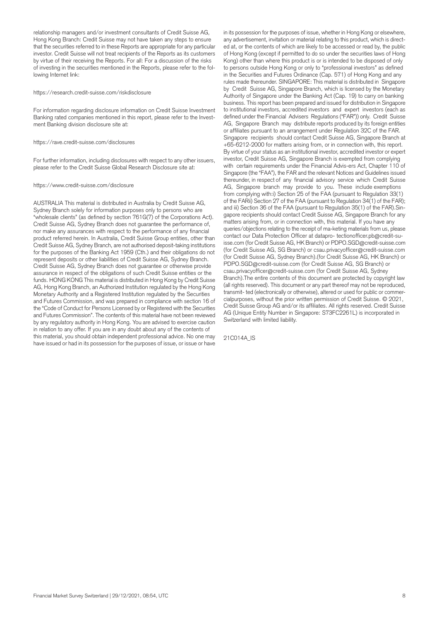relationship managers and/or investment consultants of Credit Suisse AG, Hong Kong Branch: Credit Suisse may not have taken any steps to ensure that the securities referred to in these Reports are appropriate for any particular investor. Credit Suisse will not treat recipients of the Reports as its customers by virtue of their receiving the Reports. For all: For a discussion of the risks of investing in the securities mentioned in the Reports, please refer to the following Internet link:

#### https://research.credit-suisse.com/riskdisclosure

For information regarding disclosure information on Credit Suisse Investment Banking rated companies mentioned in this report, please refer to the Investment Banking division disclosure site at:

https://rave.credit-suisse.com/disclosures

For further information, including disclosures with respect to any other issuers, please refer to the Credit Suisse Global Research Disclosure site at:

#### https://www.credit-suisse.com/disclosure

AUSTRALIA This material is distributed in Australia by Credit Suisse AG, Sydney Branch solely for information purposes only to persons who are "wholesale clients" (as defined by section 761G(7) of the Corporations Act). Credit Suisse AG, Sydney Branch does not guarantee the performance of, nor make any assurances with respect to the performance of any financial product referred herein. In Australia, Credit Suisse Group entities, other than Credit Suisse AG, Sydney Branch, are not authorised deposit-taking institutions for the purposes of the Banking Act 1959 (Cth.) and their obligations do not represent deposits or other liabilities of Credit Suisse AG, Sydney Branch. Credit Suisse AG, Sydney Branch does not guarantee or otherwise provide assurance in respect of the obligations of such Credit Suisse entities or the funds. HONG KONG This material is distributed in Hong Kong by Credit Suisse AG, Hong Kong Branch, an Authorized Institution regulated by the Hong Kong Monetary Authority and a Registered Institution regulated by the Securities and Futures Commission, and was prepared in compliance with section 16 of the "Code of Conduct for Persons Licensed by or Registered with the Securities and Futures Commission". The contents of this material have not been reviewed by any regulatory authority in Hong Kong. You are advised to exercise caution in relation to any offer. If you are in any doubt about any of the contents of this material, you should obtain independent professional advice. No one may have issued or had in its possession for the purposes of issue, or issue or have

in its possession for the purposes of issue, whether in Hong Kong or elsewhere, any advertisement, invitation or material relating to this product, which is directed at, or the contents of which are likely to be accessed or read by, the public of Hong Kong (except if permitted to do so under the securities laws of Hong Kong) other than where this product is or is intended to be disposed of only to persons outside Hong Kong or only to "professional investors" as defined in the Securities and Futures Ordinance (Cap. 571) of Hong Kong and any rules made thereunder. SINGAPORE: This material is distributed in Singapore by Credit Suisse AG, Singapore Branch, which is licensed by the Monetary Authority of Singapore under the Banking Act (Cap. 19) to carry on banking business. This report has been prepared and issued for distribution in Singapore to institutional investors, accredited investors and expert investors (each as defined under the Financial Advisers Regulations ("FAR")) only. Credit Suisse AG, Singapore Branch may distribute reports produced by its foreign entities or affiliates pursuant to an arrangement under Regulation 32C of the FAR. Singapore recipients should contact Credit Suisse AG, Singapore Branch at +65-6212-2000 for matters arising from, or in connection with, this report. By virtue of your status as an institutional investor, accredited investor or expert investor, Credit Suisse AG, Singapore Branch is exempted from complying with certain requirements under the Financial Advis-ers Act, Chapter 110 of Singapore (the "FAA"), the FAR and the relevant Notices and Guidelines issued thereunder, in respect of any financial advisory service which Credit Suisse AG, Singapore branch may provide to you. These include exemptions from complying with:i) Section 25 of the FAA (pursuant to Regulation 33(1) of the FARii) Section 27 of the FAA (pursuant to Regulation 34(1) of the FAR); and iii) Section 36 of the FAA (pursuant to Regulation 35(1) of the FAR).Singapore recipients should contact Credit Suisse AG, Singapore Branch for any matters arising from, or in connection with, this material. If you have any queries/objections relating to the receipt of ma-keting materials from us, please contact our Data Protection Officer at datapro- tectionofficer.pb@credit-suisse.com (for Credit Suisse AG, HK Branch) or PDPO.SGD@credit-suisse.com (for Credit Suisse AG, SG Branch) or csau.privacyofficer@credit-suisse.com (for Credit Suisse AG, Sydney Branch).(for Credit Suisse AG, HK Branch) or PDPO.SGD@credit-suisse.com (for Credit Suisse AG, SG Branch) or csau.privacyofficer@credit-suisse.com (for Credit Suisse AG, Sydney Branch).The entire contents of this document are protected by copyright law (all rights reserved). This document or any part thereof may not be reproduced, transmit- ted (electronically or otherwise), altered or used for public or commercialpurposes, without the prior written permission of Credit Suisse. © 2021, Credit Suisse Group AG and/or its affiliates. All rights reserved. Credit Suisse AG (Unique Entity Number in Singapore: S73FC2261L) is incorporated in Switzerland with limited liability.

21C014A\_IS